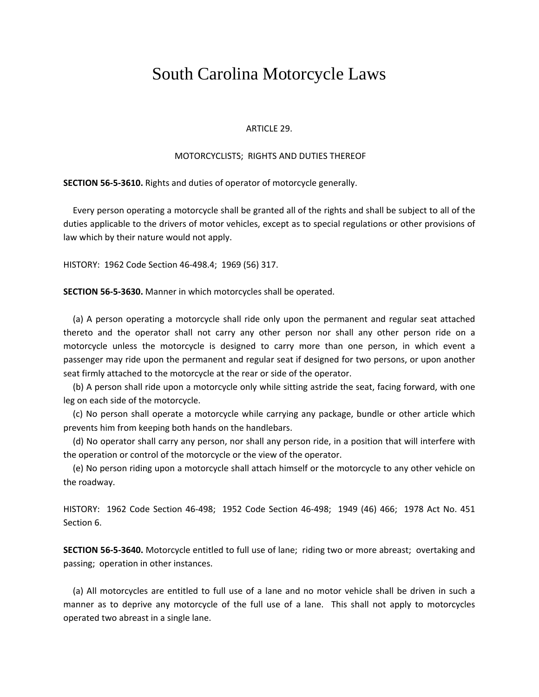## South Carolina Motorcycle Laws

## ARTICLE 29.

## MOTORCYCLISTS; RIGHTS AND DUTIES THEREOF

**SECTION 56‐5‐3610.** Rights and duties of operator of motorcycle generally.

Every person operating a motorcycle shall be granted all of the rights and shall be subject to all of the duties applicable to the drivers of motor vehicles, except as to special regulations or other provisions of law which by their nature would not apply.

HISTORY: 1962 Code Section 46‐498.4; 1969 (56) 317.

**SECTION 56‐5‐3630.** Manner in which motorcycles shall be operated.

(a) A person operating a motorcycle shall ride only upon the permanent and regular seat attached thereto and the operator shall not carry any other person nor shall any other person ride on a motorcycle unless the motorcycle is designed to carry more than one person, in which event a passenger may ride upon the permanent and regular seat if designed for two persons, or upon another seat firmly attached to the motorcycle at the rear or side of the operator.

(b) A person shall ride upon a motorcycle only while sitting astride the seat, facing forward, with one leg on each side of the motorcycle.

(c) No person shall operate a motorcycle while carrying any package, bundle or other article which prevents him from keeping both hands on the handlebars.

(d) No operator shall carry any person, nor shall any person ride, in a position that will interfere with the operation or control of the motorcycle or the view of the operator.

(e) No person riding upon a motorcycle shall attach himself or the motorcycle to any other vehicle on the roadway.

HISTORY: 1962 Code Section 46‐498; 1952 Code Section 46‐498; 1949 (46) 466; 1978 Act No. 451 Section 6.

**SECTION 56‐5‐3640.** Motorcycle entitled to full use of lane; riding two or more abreast; overtaking and passing; operation in other instances.

(a) All motorcycles are entitled to full use of a lane and no motor vehicle shall be driven in such a manner as to deprive any motorcycle of the full use of a lane. This shall not apply to motorcycles operated two abreast in a single lane.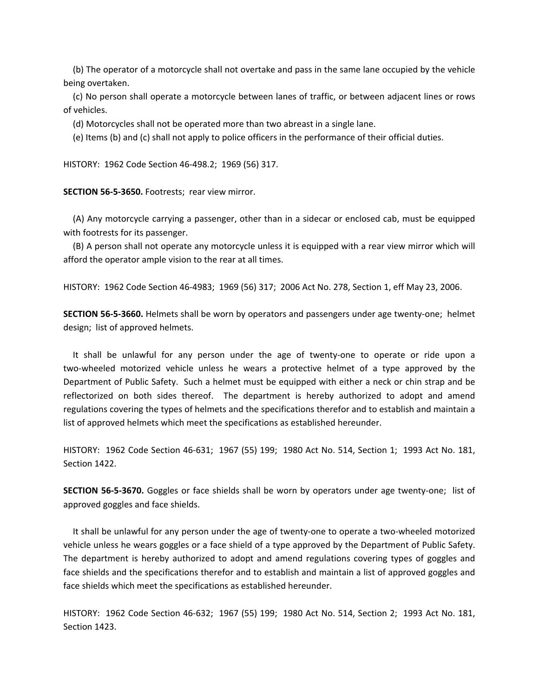(b) The operator of a motorcycle shall not overtake and pass in the same lane occupied by the vehicle being overtaken.

(c) No person shall operate a motorcycle between lanes of traffic, or between adjacent lines or rows of vehicles.

(d) Motorcycles shall not be operated more than two abreast in a single lane.

(e) Items (b) and (c) shall not apply to police officers in the performance of their official duties.

HISTORY: 1962 Code Section 46‐498.2; 1969 (56) 317.

**SECTION 56‐5‐3650.** Footrests; rear view mirror.

(A) Any motorcycle carrying a passenger, other than in a sidecar or enclosed cab, must be equipped with footrests for its passenger.

(B) A person shall not operate any motorcycle unless it is equipped with a rear view mirror which will afford the operator ample vision to the rear at all times.

HISTORY: 1962 Code Section 46‐4983; 1969 (56) 317; 2006 Act No. 278, Section 1, eff May 23, 2006.

**SECTION 56‐5‐3660.** Helmets shall be worn by operators and passengers under age twenty‐one; helmet design; list of approved helmets.

It shall be unlawful for any person under the age of twenty-one to operate or ride upon a two‐wheeled motorized vehicle unless he wears a protective helmet of a type approved by the Department of Public Safety. Such a helmet must be equipped with either a neck or chin strap and be reflectorized on both sides thereof. The department is hereby authorized to adopt and amend regulations covering the types of helmets and the specifications therefor and to establish and maintain a list of approved helmets which meet the specifications as established hereunder.

HISTORY: 1962 Code Section 46‐631; 1967 (55) 199; 1980 Act No. 514, Section 1; 1993 Act No. 181, Section 1422.

**SECTION 56‐5‐3670.** Goggles or face shields shall be worn by operators under age twenty‐one; list of approved goggles and face shields.

It shall be unlawful for any person under the age of twenty‐one to operate a two‐wheeled motorized vehicle unless he wears goggles or a face shield of a type approved by the Department of Public Safety. The department is hereby authorized to adopt and amend regulations covering types of goggles and face shields and the specifications therefor and to establish and maintain a list of approved goggles and face shields which meet the specifications as established hereunder.

HISTORY: 1962 Code Section 46‐632; 1967 (55) 199; 1980 Act No. 514, Section 2; 1993 Act No. 181, Section 1423.